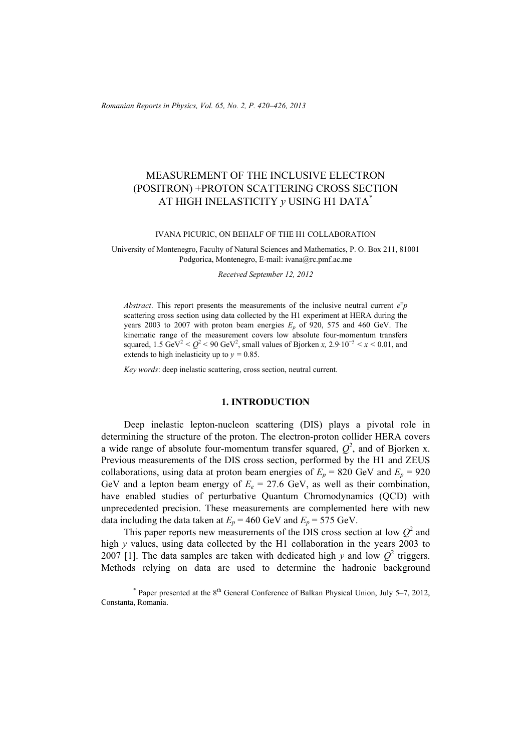*Romanian Reports in Physics, Vol. 65, No. 2, P. 420–426, 2013*

# MEASUREMENT OF THE INCLUSIVE ELECTRON (POSITRON) +PROTON SCATTERING CROSS SECTION AT HIGH INELASTICITY *y* USING H1 DATA\*

IVANA PICURIC, ON BEHALF OF THE H1 COLLABORATION

University of Montenegro, Faculty of Natural Sciences and Mathematics, P. O. Box 211, 81001 Podgorica, Montenegro, E-mail: ivana@rc.pmf.ac.me

*Received September 12, 2012* 

*Abstract*. This report presents the measurements of the inclusive neutral current  $e^{\pm}p$ scattering cross section using data collected by the H1 experiment at HERA during the years 2003 to 2007 with proton beam energies  $E_p$  of 920, 575 and 460 GeV. The kinematic range of the measurement covers low absolute four-momentum transfers squared,  $1.5 \text{ GeV}^2 < Q^2 < 90 \text{ GeV}^2$ , small values of Bjorken *x*,  $2.9 \cdot 10^{-5} < x < 0.01$ , and extends to high inelasticity up to  $y = 0.85$ .

*Key words*: deep inelastic scattering, cross section, neutral current.

### **1. INTRODUCTION**

Deep inelastic lepton-nucleon scattering (DIS) plays a pivotal role in determining the structure of the proton. The electron-proton collider HERA covers a wide range of absolute four-momentum transfer squared,  $Q^2$ , and of Bjorken x. Previous measurements of the DIS cross section, performed by the H1 and ZEUS collaborations, using data at proton beam energies of  $E_p = 820$  GeV and  $E_p = 920$ GeV and a lepton beam energy of  $E_e = 27.6$  GeV, as well as their combination, have enabled studies of perturbative Quantum Chromodynamics (QCD) with unprecedented precision. These measurements are complemented here with new data including the data taken at  $E_p = 460$  GeV and  $E_p = 575$  GeV.

This paper reports new measurements of the DIS cross section at low  $Q^2$  and high *y* values, using data collected by the H1 collaboration in the years 2003 to 2007 [1]. The data samples are taken with dedicated high *y* and low  $Q^2$  triggers. Methods relying on data are used to determine the hadronic background

<sup>\*</sup> Paper presented at the 8<sup>th</sup> General Conference of Balkan Physical Union, July 5-7, 2012, Constanta, Romania.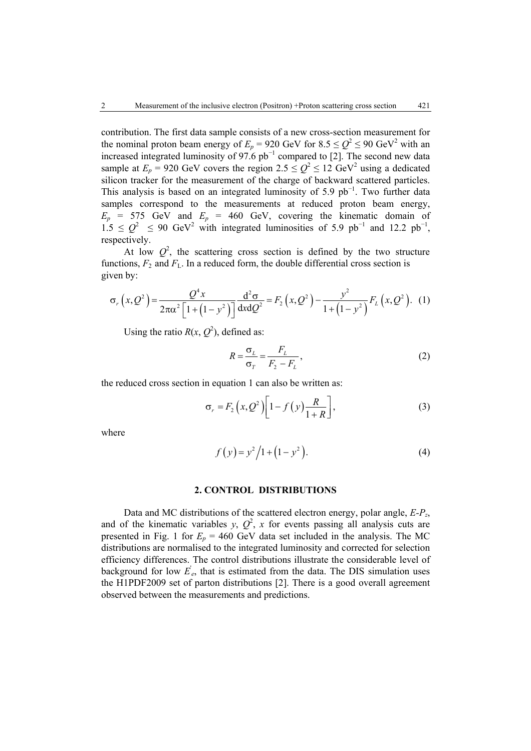contribution. The first data sample consists of a new cross-section measurement for the nominal proton beam energy of  $E_p = 920$  GeV for  $8.5 \le Q^2 \le 90$  GeV<sup>2</sup> with an increased integrated luminosity of 97.6  $pb^{-1}$  compared to [2]. The second new data sample at  $E_p = 920$  GeV covers the region  $2.5 \le Q^2 \le 12$  GeV<sup>2</sup> using a dedicated silicon tracker for the measurement of the charge of backward scattered particles. This analysis is based on an integrated luminosity of 5.9 pb<sup>-1</sup>. Two further data samples correspond to the measurements at reduced proton beam energy,  $E_p$  = 575 GeV and  $E_p$  = 460 GeV, covering the kinematic domain of  $1.5 \leq Q^2 \leq 90$  GeV<sup>2</sup> with integrated luminosities of 5.9 pb<sup>-1</sup> and 12.2 pb<sup>-1</sup>, respectively.

At low  $Q^2$ , the scattering cross section is defined by the two structure functions,  $F_2$  and  $F_L$ . In a reduced form, the double differential cross section is given by:

$$
\sigma_r(x, Q^2) = \frac{Q^4 x}{2\pi \alpha^2 \left[1 + \left(1 - y^2\right)\right]} \frac{d^2 \sigma}{dx dQ^2} = F_2\left(x, Q^2\right) - \frac{y^2}{1 + \left(1 - y^2\right)} F_L\left(x, Q^2\right). \tag{1}
$$

Using the ratio  $R(x, Q^2)$ , defined as:

$$
R = \frac{\sigma_L}{\sigma_T} = \frac{F_L}{F_2 - F_L},\tag{2}
$$

the reduced cross section in equation 1 can also be written as:

$$
\sigma_r = F_2(x, Q^2) \left[ 1 - f(y) \frac{R}{1+R} \right],\tag{3}
$$

where

$$
f(y) = y^2/1 + (1 - y^2).
$$
 (4)

#### **2. CONTROL DISTRIBUTIONS**

Data and MC distributions of the scattered electron energy, polar angle, *E-P<sub>z</sub>*, and of the kinematic variables *y*,  $Q^2$ , *x* for events passing all analysis cuts are presented in Fig. 1 for  $E_p = 460$  GeV data set included in the analysis. The MC distributions are normalised to the integrated luminosity and corrected for selection efficiency differences. The control distributions illustrate the considerable level of background for low  $E_e$ , that is estimated from the data. The DIS simulation uses the H1PDF2009 set of parton distributions [2]. There is a good overall agreement observed between the measurements and predictions.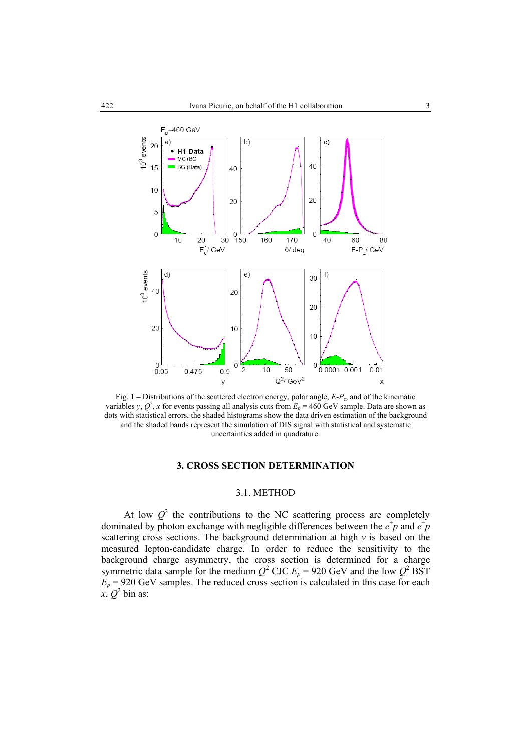

Fig. 1 **–** Distributions of the scattered electron energy, polar angle, *E-Pz*, and of the kinematic variables *y*,  $Q^2$ , *x* for events passing all analysis cuts from  $E_p = 460$  GeV sample. Data are shown as dots with statistical errors, the shaded histograms show the data driven estimation of the background and the shaded bands represent the simulation of DIS signal with statistical and systematic uncertainties added in quadrature.

### **3. CROSS SECTION DETERMINATION**

# 3.1. METHOD

At low  $Q^2$  the contributions to the NC scattering process are completely dominated by photon exchange with negligible differences between the  $e^+p$  and  $\overline{e}$ scattering cross sections. The background determination at high *y* is based on the measured lepton-candidate charge. In order to reduce the sensitivity to the background charge asymmetry, the cross section is determined for a charge symmetric data sample for the medium  $Q^2$  CJC  $E_p = 920$  GeV and the low  $Q^2$  BST  $E_p$  = 920 GeV samples. The reduced cross section is calculated in this case for each  $x, Q^2$  bin as: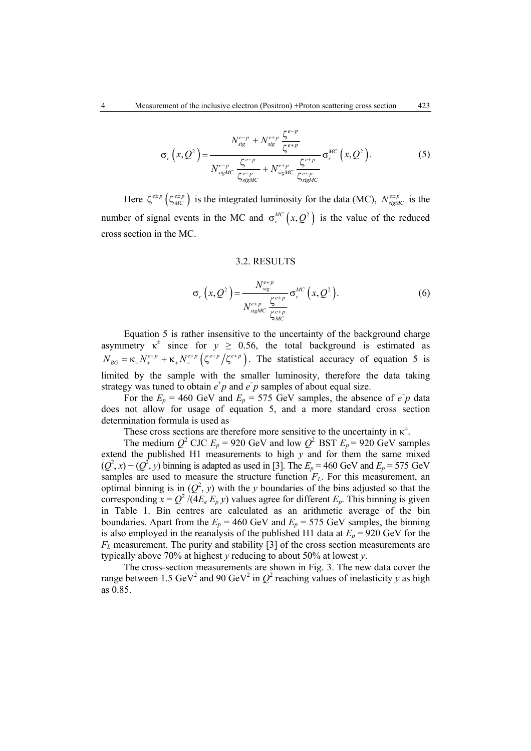$$
\sigma_r(x, Q^2) = \frac{N_{sig}^{e-p} + N_{sig}^{e+p} \frac{\zeta^{e-p}}{\zeta^{e+p}}}{N_{sigMC}^{e-p} \frac{\zeta^{e-p}}{\zeta^{e-p}} + N_{sigMC}^{e+p} \frac{\zeta^{e+p}}{\zeta^{e+p}} \sigma_r^{MC}(x, Q^2).
$$
(5)

Here  $\zeta^{e+p}$  ( $\zeta^{e+p}_{MC}$ ) is the integrated luminosity for the data (MC),  $N^{e+p}_{sigMC}$  is the number of signal events in the MC and  $\sigma_r^{MC}(x, Q^2)$  is the value of the reduced cross section in the MC.

### 3.2. RESULTS

$$
\sigma_r(x, Q^2) = \frac{N_{sig}^{e+p}}{N_{sigMC}^{e+p}} \frac{\zeta^{e+p}}{\zeta_{MC}^{e+p}} \sigma_r^{MC}(x, Q^2).
$$
 (6)

Equation 5 is rather insensitive to the uncertainty of the background charge asymmetry  $\kappa^{\pm}$  since for  $y \ge 0.56$ , the total background is estimated as  $N_{BG} = \kappa N_{+}^{e-p} + \kappa_{+} N_{-}^{e+p} (\zeta^{e-p} / \zeta^{e+p})$ . The statistical accuracy of equation 5 is limited by the sample with the smaller luminosity, therefore the data taking strategy was tuned to obtain  $e^+p$  and  $\overline{e}$  p samples of about equal size.

For the  $E_p = 460$  GeV and  $E_p = 575$  GeV samples, the absence of  $e^-p$  data does not allow for usage of equation 5, and a more standard cross section determination formula is used as

These cross sections are therefore more sensitive to the uncertainty in  $\kappa^{\pm}$ .

The medium  $Q^2$  CJC  $E_p = 920$  GeV and low  $Q^2$  BST  $E_p = 920$  GeV samples extend the published H1 measurements to high *y* and for them the same mixed  $(Q^2, x)$  –  $(Q^2, y)$  binning is adapted as used in [3]. The  $E_p$  = 460 GeV and  $E_p$  = 575 GeV samples are used to measure the structure function  $F<sub>L</sub>$ . For this measurement, an optimal binning is in  $(Q^2, y)$  with the *y* boundaries of the bins adjusted so that the corresponding  $x = Q^2 / (4E_e E_p y)$  values agree for different  $E_p$ . This binning is given in Table 1. Bin centres are calculated as an arithmetic average of the bin boundaries. Apart from the  $E_p = 460$  GeV and  $E_p = 575$  GeV samples, the binning is also employed in the reanalysis of the published H1 data at  $E_p = 920$  GeV for the  $F<sub>L</sub>$  measurement. The purity and stability [3] of the cross section measurements are typically above 70% at highest *y* reducing to about 50% at lowest *y*.

The cross-section measurements are shown in Fig. 3. The new data cover the range between 1.5 GeV<sup>2</sup> and 90 GeV<sup>2</sup> in  $Q^2$  reaching values of inelasticity *y* as high as 0.85.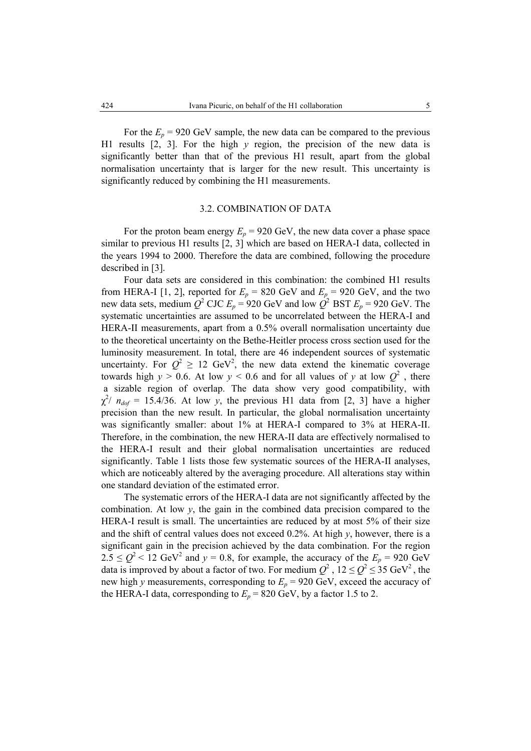For the  $E_p = 920$  GeV sample, the new data can be compared to the previous H1 results [2, 3]. For the high *y* region, the precision of the new data is significantly better than that of the previous H1 result, apart from the global normalisation uncertainty that is larger for the new result. This uncertainty is significantly reduced by combining the H1 measurements.

## 3.2. COMBINATION OF DATA

For the proton beam energy  $E_p = 920$  GeV, the new data cover a phase space similar to previous H1 results [2, 3] which are based on HERA-I data, collected in the years 1994 to 2000. Therefore the data are combined, following the procedure described in [3].

Four data sets are considered in this combination: the combined H1 results from HERA-I [1, 2], reported for  $E_p = 820$  GeV and  $E_p = 920$  GeV, and the two new data sets, medium  $Q^2$  CJC  $E_p = 920$  GeV and low  $Q^2$  BST  $E_p = 920$  GeV. The systematic uncertainties are assumed to be uncorrelated between the HERA-I and HERA-II measurements, apart from a 0.5% overall normalisation uncertainty due to the theoretical uncertainty on the Bethe-Heitler process cross section used for the luminosity measurement. In total, there are 46 independent sources of systematic uncertainty. For  $Q^2 \geq 12$  GeV<sup>2</sup>, the new data extend the kinematic coverage towards high  $y > 0.6$ . At low  $y < 0.6$  and for all values of y at low  $Q^2$ , there a sizable region of overlap. The data show very good compatibility, with  $\chi^2$ /  $n_{dof}$  = 15.4/36. At low *y*, the previous H1 data from [2, 3] have a higher precision than the new result. In particular, the global normalisation uncertainty was significantly smaller: about 1% at HERA-I compared to 3% at HERA-II. Therefore, in the combination, the new HERA-II data are effectively normalised to the HERA-I result and their global normalisation uncertainties are reduced significantly. Table 1 lists those few systematic sources of the HERA-II analyses, which are noticeably altered by the averaging procedure. All alterations stay within one standard deviation of the estimated error.

The systematic errors of the HERA-I data are not significantly affected by the combination. At low  $y$ , the gain in the combined data precision compared to the HERA-I result is small. The uncertainties are reduced by at most 5% of their size and the shift of central values does not exceed 0.2%. At high *y*, however, there is a significant gain in the precision achieved by the data combination. For the region  $2.5 \le Q^2 < 12$  GeV<sup>2</sup> and  $y = 0.8$ , for example, the accuracy of the  $E_p = 920$  GeV data is improved by about a factor of two. For medium  $Q^2$ ,  $12 \le Q^2 \le 35$  GeV<sup>2</sup>, the new high *y* measurements, corresponding to  $E_p = 920$  GeV, exceed the accuracy of the HERA-I data, corresponding to  $E_p = 820$  GeV, by a factor 1.5 to 2.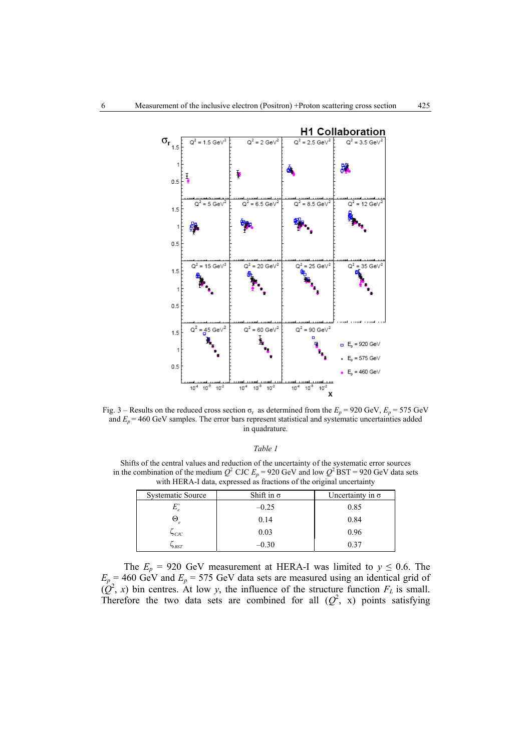

Fig. 3 – Results on the reduced cross section  $\sigma_r$  as determined from the  $E_p = 920 \text{ GeV}, E_p = 575 \text{ GeV}$ and  $E_p$  = 460 GeV samples. The error bars represent statistical and systematic uncertainties added in quadrature.

|  | $a$ n |  |
|--|-------|--|
|--|-------|--|

Shifts of the central values and reduction of the uncertainty of the systematic error sources in the combination of the medium  $Q^2$  CJC  $E_p = 920$  GeV and low  $Q^2$  BST = 920 GeV data sets with HERA-I data, expressed as fractions of the original uncertainty

| <b>Systematic Source</b> | Shift in $\sigma$ | Uncertainty in $\sigma$ |
|--------------------------|-------------------|-------------------------|
|                          | $-0.25$           | 0.85                    |
| $\mathbf{\Theta}_{e}$    | 0.14              | 0.84                    |
| $\mathcal{C}$            | 0.03              | 0.96                    |
| $\neg BST$               | -0.30             | 0.37                    |

The  $E_p = 920$  GeV measurement at HERA-I was limited to  $y \le 0.6$ . The  $E_p = 460$  GeV and  $E_p = 575$  GeV data sets are measured using an identical grid of  $(Q^2, x)$  bin centres. At low *y*, the influence of the structure function  $F_L$  is small. Therefore the two data sets are combined for all  $(Q^2, x)$  points satisfying